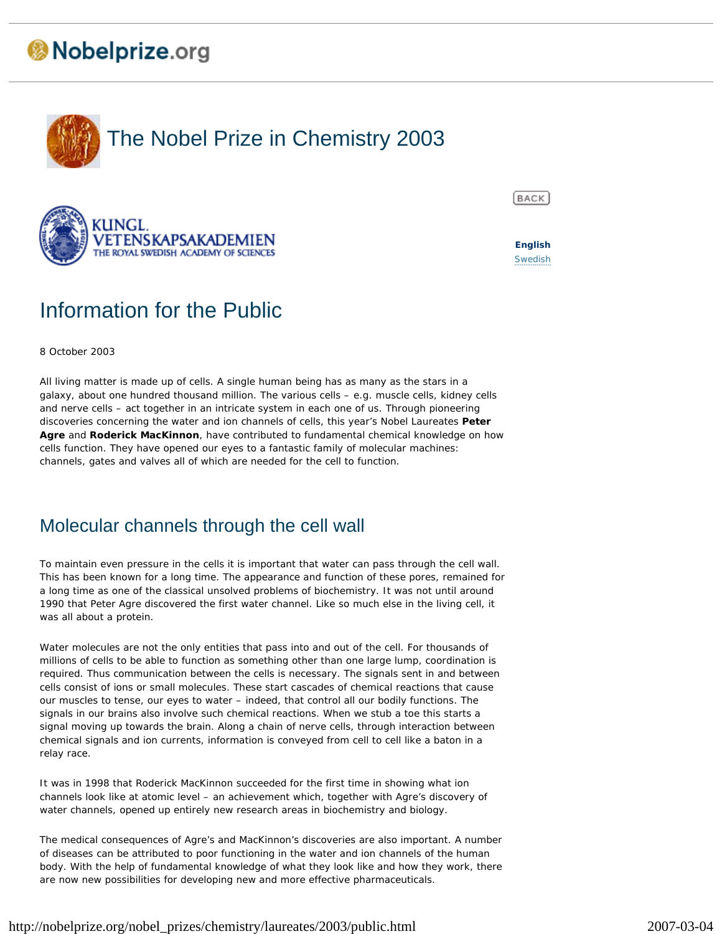# Nobelprize.org





# Information for the Public

8 October 2003

All living matter is made up of cells. A single human being has as many as the stars in a galaxy, about one hundred thousand million. The various cells – e.g. muscle cells, kidney cells and nerve cells – act together in an intricate system in each one of us. Through pioneering discoveries concerning the water and ion channels of cells, this year's Nobel Laureates **Peter Agre** and **Roderick MacKinnon**, have contributed to fundamental chemical knowledge on how cells function. They have opened our eyes to a fantastic family of molecular machines: channels, gates and valves all of which are needed for the cell to function.

## Molecular channels through the cell wall

To maintain even pressure in the cells it is important that water can pass through the cell wall. This has been known for a long time. The appearance and function of these pores, remained for a long time as one of the classical unsolved problems of biochemistry. It was not until around 1990 that Peter Agre discovered the first water channel. Like so much else in the living cell, it was all about a protein.

Water molecules are not the only entities that pass into and out of the cell. For thousands of millions of cells to be able to function as something other than one large lump, coordination is required. Thus communication between the cells is necessary. The signals sent in and between cells consist of ions or small molecules. These start cascades of chemical reactions that cause our muscles to tense, our eyes to water – indeed, that control all our bodily functions. The signals in our brains also involve such chemical reactions. When we stub a toe this starts a signal moving up towards the brain. Along a chain of nerve cells, through interaction between chemical signals and ion currents, information is conveyed from cell to cell like a baton in a relay race.

It was in 1998 that Roderick MacKinnon succeeded for the first time in showing what ion channels look like at atomic level – an achievement which, together with Agre's discovery of water channels, opened up entirely new research areas in biochemistry and biology.

The medical consequences of Agre's and MacKinnon's discoveries are also important. A number of diseases can be attributed to poor functioning in the water and ion channels of the human body. With the help of fundamental knowledge of what they look like and how they work, there are now new possibilities for developing new and more effective pharmaceuticals.



**English Swedish**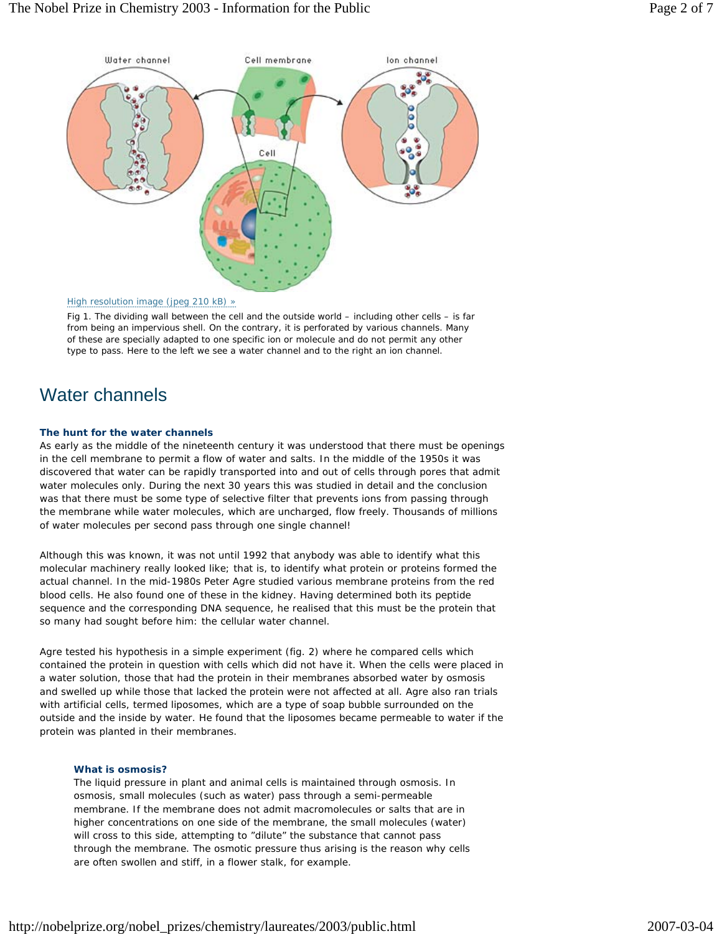

### High resolution image (jpeg 210 kB) »

Fig 1. The dividing wall between the cell and the outside world – including other cells – is far from being an impervious shell. On the contrary, it is perforated by various channels. Many of these are specially adapted to one specific ion or molecule and do not permit any other type to pass. Here to the left we see a water channel and to the right an ion channel.

## Water channels

### **The hunt for the water channels**

As early as the middle of the nineteenth century it was understood that there must be openings in the cell membrane to permit a flow of water and salts. In the middle of the 1950s it was discovered that water can be rapidly transported into and out of cells through pores that admit water molecules only. During the next 30 years this was studied in detail and the conclusion was that there must be some type of selective filter that prevents ions from passing through the membrane while water molecules, which are uncharged, flow freely. Thousands of millions of water molecules per second pass through one single channel!

Although this was known, it was not until 1992 that anybody was able to identify what this molecular machinery really looked like; that is, to identify what protein or proteins formed the actual channel. In the mid-1980s Peter Agre studied various membrane proteins from the red blood cells. He also found one of these in the kidney. Having determined both its peptide sequence and the corresponding DNA sequence, he realised that this must be the protein that so many had sought before him: the cellular water channel.

Agre tested his hypothesis in a simple experiment (fig. 2) where he compared cells which contained the protein in question with cells which did not have it. When the cells were placed in a water solution, those that had the protein in their membranes absorbed water by osmosis and swelled up while those that lacked the protein were not affected at all. Agre also ran trials with artificial cells, termed liposomes, which are a type of soap bubble surrounded on the outside and the inside by water. He found that the liposomes became permeable to water if the protein was planted in their membranes.

### **What is osmosis?**

The liquid pressure in plant and animal cells is maintained through osmosis. In osmosis, small molecules (such as water) pass through a semi-permeable membrane. If the membrane does not admit macromolecules or salts that are in higher concentrations on one side of the membrane, the small molecules (water) will cross to this side, attempting to "dilute" the substance that cannot pass through the membrane. The osmotic pressure thus arising is the reason why cells are often swollen and stiff, in a flower stalk, for example.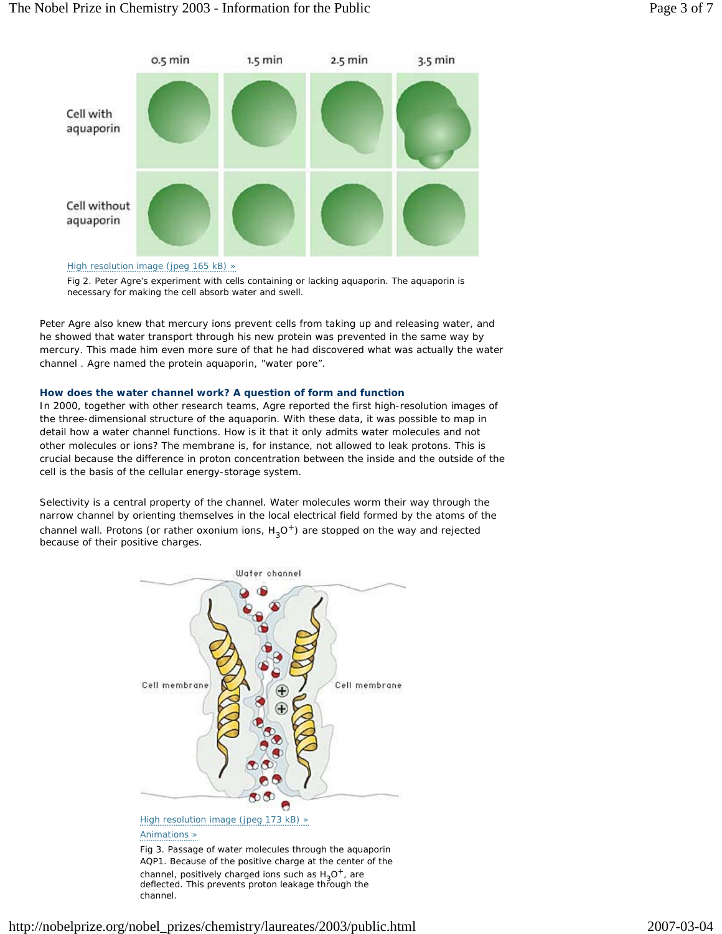

### High resolution image (jpeg 165 kB) »

Fig 2. Peter Agre's experiment with cells containing or lacking aquaporin. The aquaporin is necessary for making the cell absorb water and swell.

Peter Agre also knew that mercury ions prevent cells from taking up and releasing water, and he showed that water transport through his new protein was prevented in the same way by mercury. This made him even more sure of that he had discovered what was actually the water channel . Agre named the protein *aquaporin,* "water pore".

### **How does the water channel work? A question of form and function**

In 2000, together with other research teams, Agre reported the first high-resolution images of the three-dimensional structure of the aquaporin. With these data, it was possible to map in detail how a water channel functions. How is it that it only admits water molecules and not other molecules or ions? The membrane is, for instance, not allowed to leak protons. This is crucial because the difference in proton concentration between the inside and the outside of the cell is the basis of the cellular energy-storage system.

Selectivity is a central property of the channel. Water molecules worm their way through the narrow channel by orienting themselves in the local electrical field formed by the atoms of the channel wall. Protons (or rather oxonium ions,  $H_3O^+$ ) are stopped on the way and rejected because of their positive charges.



AQP1. Because of the positive charge at the center of the channel, positively charged ions such as  $H_2O^+$ , are deflected. This prevents proton leakage through the channel.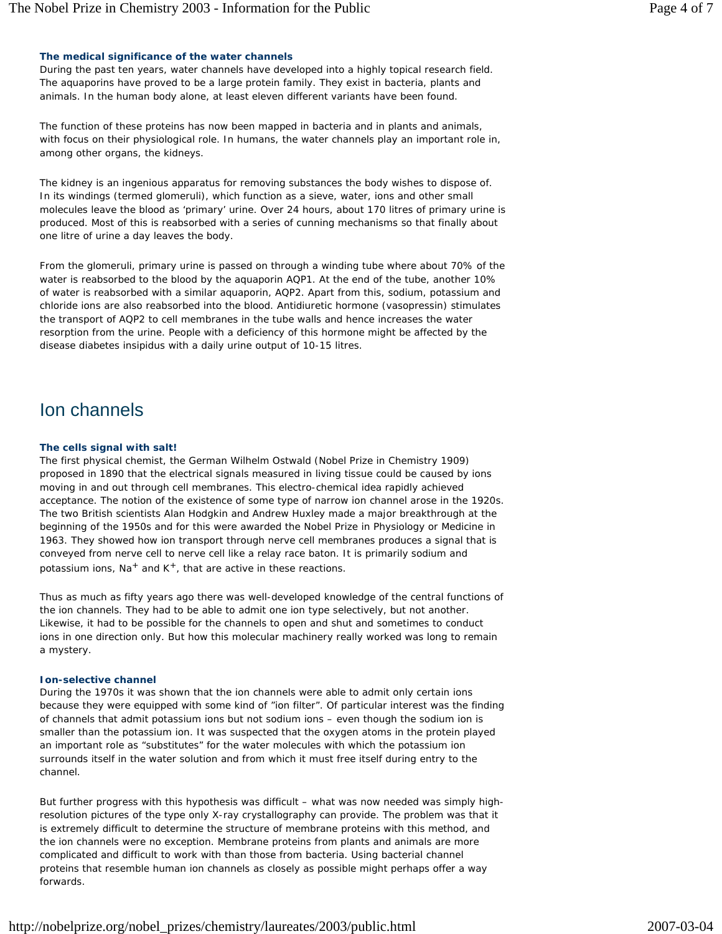### **The medical significance of the water channels**

During the past ten years, water channels have developed into a highly topical research field. The aquaporins have proved to be a large protein family. They exist in bacteria, plants and animals. In the human body alone, at least eleven different variants have been found.

The function of these proteins has now been mapped in bacteria and in plants and animals, with focus on their physiological role. In humans, the water channels play an important role in, among other organs, the kidneys.

The kidney is an ingenious apparatus for removing substances the body wishes to dispose of. In its windings (termed glomeruli), which function as a sieve, water, ions and other small molecules leave the blood as 'primary' urine. Over 24 hours, about 170 litres of primary urine is produced. Most of this is reabsorbed with a series of cunning mechanisms so that finally about one litre of urine a day leaves the body.

From the glomeruli, primary urine is passed on through a winding tube where about 70% of the water is reabsorbed to the blood by the aquaporin AQP1. At the end of the tube, another 10% of water is reabsorbed with a similar aquaporin, AQP2. Apart from this, sodium, potassium and chloride ions are also reabsorbed into the blood. Antidiuretic hormone (vasopressin) stimulates the transport of AQP2 to cell membranes in the tube walls and hence increases the water resorption from the urine. People with a deficiency of this hormone might be affected by the disease *diabetes insipidus* with a daily urine output of 10-15 litres.

### Ion channels

### **The cells signal with salt!**

The first physical chemist, the German Wilhelm Ostwald (Nobel Prize in Chemistry 1909) proposed in 1890 that the electrical signals measured in living tissue could be caused by ions moving in and out through cell membranes. This electro-chemical idea rapidly achieved acceptance. The notion of the existence of some type of narrow ion channel arose in the 1920s. The two British scientists Alan Hodgkin and Andrew Huxley made a major breakthrough at the beginning of the 1950s and for this were awarded the Nobel Prize in Physiology or Medicine in 1963. They showed how ion transport through nerve cell membranes produces a signal that is conveyed from nerve cell to nerve cell like a relay race baton. It is primarily sodium and potassium ions,  $Na^+$  and  $K^+$ , that are active in these reactions.

Thus as much as fifty years ago there was well-developed knowledge of the central functions of the ion channels. They had to be able to admit one ion type selectively, but not another. Likewise, it had to be possible for the channels to open and shut and sometimes to conduct ions in one direction only. But how this molecular machinery really worked was long to remain a mystery.

### **Ion-selective channel**

During the 1970s it was shown that the ion channels were able to admit only certain ions because they were equipped with some kind of "ion filter". Of particular interest was the finding of channels that admit potassium ions but not sodium ions – even though the sodium ion is smaller than the potassium ion. It was suspected that the oxygen atoms in the protein played an important role as "substitutes" for the water molecules with which the potassium ion surrounds itself in the water solution and from which it must free itself during entry to the channel.

But further progress with this hypothesis was difficult – what was now needed was simply highresolution pictures of the type only X-ray crystallography can provide. The problem was that it is extremely difficult to determine the structure of membrane proteins with this method, and the ion channels were no exception. Membrane proteins from plants and animals are more complicated and difficult to work with than those from bacteria. Using bacterial channel proteins that resemble human ion channels as closely as possible might perhaps offer a way forwards.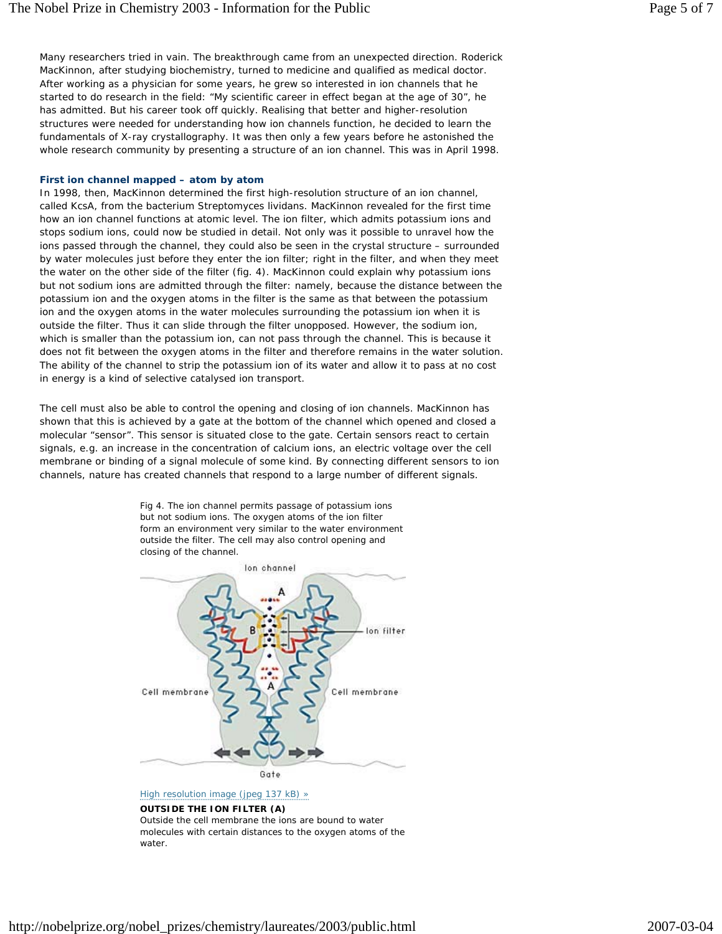Many researchers tried in vain. The breakthrough came from an unexpected direction. Roderick MacKinnon, after studying biochemistry, turned to medicine and qualified as medical doctor. After working as a physician for some years, he grew so interested in ion channels that he started to do research in the field: "My scientific career in effect began at the age of 30", he has admitted. But his career took off quickly. Realising that better and higher-resolution structures were needed for understanding how ion channels function, he decided to learn the fundamentals of X-ray crystallography. It was then only a few years before he astonished the whole research community by presenting a structure of an ion channel. This was in April 1998.

### **First ion channel mapped – atom by atom**

In 1998, then, MacKinnon determined the first high-resolution structure of an ion channel, called KcsA, from the bacterium *Streptomyces lividans.* MacKinnon revealed for the first time how an ion channel functions at atomic level. The ion filter, which admits potassium ions and stops sodium ions, could now be studied in detail. Not only was it possible to unravel how the ions passed through the channel, they could also be seen in the crystal structure – surrounded by water molecules just before they enter the ion filter; right in the filter, and when they meet the water on the other side of the filter (fig. 4). MacKinnon could explain why potassium ions but not sodium ions are admitted through the filter: namely, because the distance between the potassium ion and the oxygen atoms in the filter is the same as that between the potassium ion and the oxygen atoms in the water molecules surrounding the potassium ion when it is outside the filter. Thus it can slide through the filter unopposed. However, the sodium ion, which is smaller than the potassium ion, can *not* pass through the channel. This is because it does not fit between the oxygen atoms in the filter and therefore remains in the water solution. The ability of the channel to strip the potassium ion of its water and allow it to pass at no cost in energy is a kind of selective catalysed ion transport.

The cell must also be able to control the opening and closing of ion channels. MacKinnon has shown that this is achieved by a gate at the bottom of the channel which opened and closed a molecular "sensor". This sensor is situated close to the gate. Certain sensors react to certain signals, e.g. an increase in the concentration of calcium ions, an electric voltage over the cell membrane or binding of a signal molecule of some kind. By connecting different sensors to ion channels, nature has created channels that respond to a large number of different signals.





High resolution image (jpeg 137 kB) »

### **OUTSIDE THE ION FILTER (A)**

Outside the cell membrane the ions are bound to water molecules with certain distances to the oxygen atoms of the water.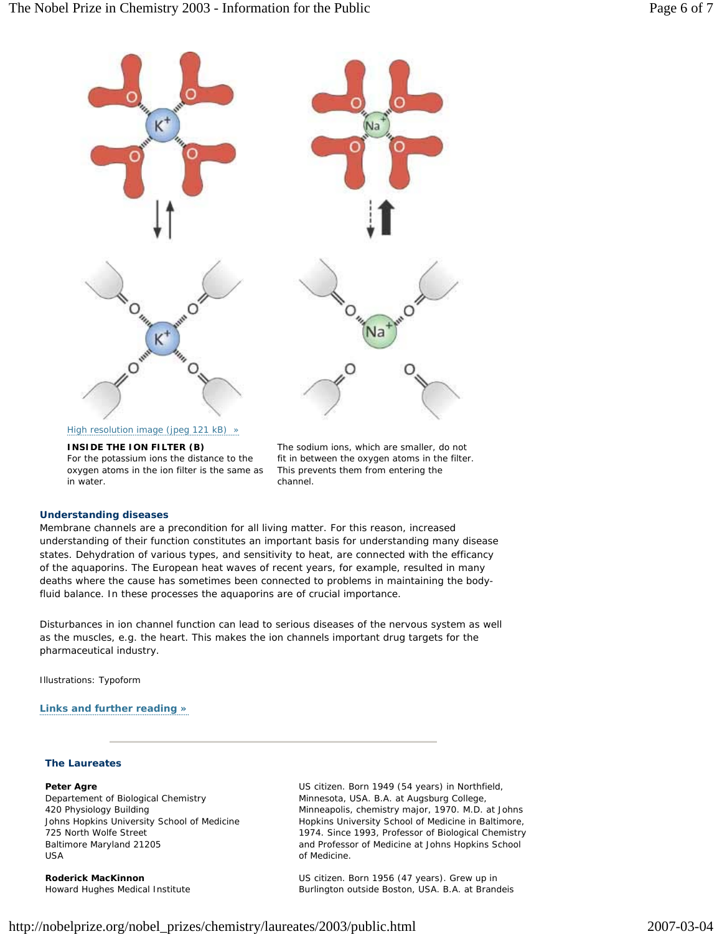

### **INSIDE THE ION FILTER (B)**

For the potassium ions the distance to the oxygen atoms in the ion filter is the same as in water.

The sodium ions, which are smaller, do not fit in between the oxygen atoms in the filter. This prevents them from entering the channel.

#### **Understanding diseases**

Membrane channels are a precondition for all living matter. For this reason, increased understanding of their function constitutes an important basis for understanding many disease states. Dehydration of various types, and sensitivity to heat, are connected with the efficancy of the aquaporins. The European heat waves of recent years, for example, resulted in many deaths where the cause has sometimes been connected to problems in maintaining the bodyfluid balance. In these processes the aquaporins are of crucial importance.

Disturbances in ion channel function can lead to serious diseases of the nervous system as well as the muscles, e.g. the heart. This makes the ion channels important drug targets for the pharmaceutical industry.

Illustrations: Typoform

### **Links and further reading »**

### **The Laureates**

**Peter Agre** Departement of Biological Chemistry 420 Physiology Building Johns Hopkins University School of Medicine 725 North Wolfe Street Baltimore Maryland 21205 USA

**Roderick MacKinnon** Howard Hughes Medical Institute US citizen. Born 1949 (54 years) in Northfield, Minnesota, USA. B.A. at Augsburg College, Minneapolis, chemistry major, 1970. M.D. at Johns Hopkins University School of Medicine in Baltimore, 1974. Since 1993, Professor of Biological Chemistry and Professor of Medicine at Johns Hopkins School of Medicine.

US citizen. Born 1956 (47 years). Grew up in Burlington outside Boston, USA. B.A. at Brandeis